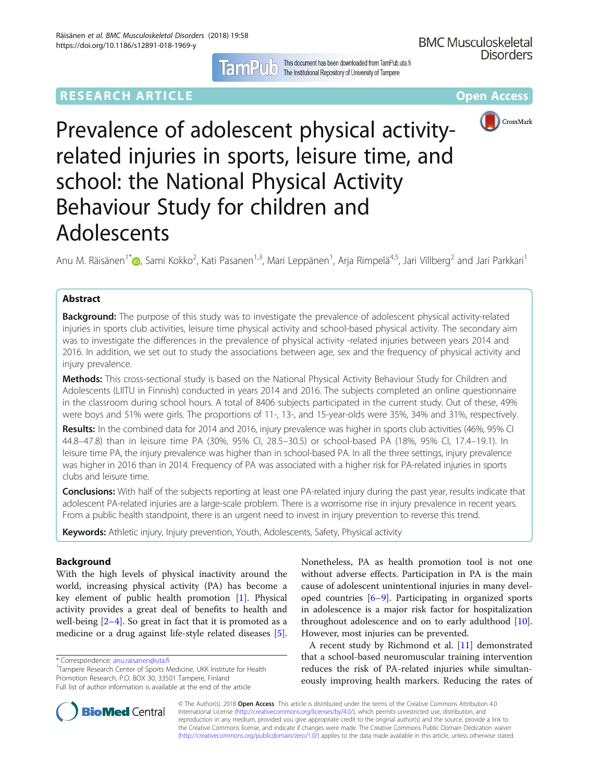TamPUD This document has been downloaded from TamPub.<br>The Institutional Repository of University of Tampere This document has been downloaded from TamPub.uta.fi

# **RESEARCH ARTICLE Example 2014 12:30 The Contract of Contract ACCESS**



# Prevalence of adolescent physical activityrelated injuries in sports, leisure time, and school: the National Physical Activity Behaviour Study for children and Adolescents

Anu M. Räisänen<sup>1[\\*](http://orcid.org/0000-0003-3056-8169)</sup>®, Sami Kokko<sup>2</sup>, Kati Pasanen<sup>1,3</sup>, Mari Leppänen<sup>1</sup>, Arja Rimpelä<sup>4,5</sup>, Jari Villberg<sup>2</sup> and Jari Parkkari<sup>1</sup>

# Abstract

Background: The purpose of this study was to investigate the prevalence of adolescent physical activity-related injuries in sports club activities, leisure time physical activity and school-based physical activity. The secondary aim was to investigate the differences in the prevalence of physical activity -related injuries between years 2014 and 2016. In addition, we set out to study the associations between age, sex and the frequency of physical activity and injury prevalence.

Methods: This cross-sectional study is based on the National Physical Activity Behaviour Study for Children and Adolescents (LIITU in Finnish) conducted in years 2014 and 2016. The subjects completed an online questionnaire in the classroom during school hours. A total of 8406 subjects participated in the current study. Out of these, 49% were boys and 51% were girls. The proportions of 11-, 13-, and 15-year-olds were 35%, 34% and 31%, respectively.

Results: In the combined data for 2014 and 2016, injury prevalence was higher in sports club activities (46%, 95% CI 44.8–47.8) than in leisure time PA (30%, 95% CI, 28.5–30.5) or school-based PA (18%, 95% CI, 17.4–19.1). In leisure time PA, the injury prevalence was higher than in school-based PA. In all the three settings, injury prevalence was higher in 2016 than in 2014. Frequency of PA was associated with a higher risk for PA-related injuries in sports clubs and leisure time.

Conclusions: With half of the subjects reporting at least one PA-related injury during the past year, results indicate that adolescent PA-related injuries are a large-scale problem. There is a worrisome rise in injury prevalence in recent years. From a public health standpoint, there is an urgent need to invest in injury prevention to reverse this trend.

Keywords: Athletic injury, Injury prevention, Youth, Adolescents, Safety, Physical activity

## Background

With the high levels of physical inactivity around the world, increasing physical activity (PA) has become a key element of public health promotion [[1\]](#page-6-0). Physical activity provides a great deal of benefits to health and well-being  $[2-4]$  $[2-4]$  $[2-4]$ . So great in fact that it is promoted as a medicine or a drug against life-style related diseases [\[5](#page-6-0)].

<sup>1</sup>Tampere Research Center of Sports Medicine, UKK Institute for Health Promotion Research, P.O. BOX 30, 33501 Tampere, Finland Full list of author information is available at the end of the article

Nonetheless, PA as health promotion tool is not one without adverse effects. Participation in PA is the main cause of adolescent unintentional injuries in many developed countries [[6](#page-6-0)–[9\]](#page-6-0). Participating in organized sports in adolescence is a major risk factor for hospitalization throughout adolescence and on to early adulthood  $[10]$  $[10]$ . However, most injuries can be prevented.

A recent study by Richmond et al. [[11](#page-6-0)] demonstrated that a school-based neuromuscular training intervention reduces the risk of PA-related injuries while simultaneously improving health markers. Reducing the rates of



© The Author(s). 2018 Open Access This article is distributed under the terms of the Creative Commons Attribution 4.0 International License [\(http://creativecommons.org/licenses/by/4.0/](http://creativecommons.org/licenses/by/4.0/)), which permits unrestricted use, distribution, and reproduction in any medium, provided you give appropriate credit to the original author(s) and the source, provide a link to the Creative Commons license, and indicate if changes were made. The Creative Commons Public Domain Dedication waiver [\(http://creativecommons.org/publicdomain/zero/1.0/](http://creativecommons.org/publicdomain/zero/1.0/)) applies to the data made available in this article, unless otherwise stated.

<sup>\*</sup> Correspondence: [anu.raisanen@uta.fi](mailto:anu.raisanen@uta.fi) <sup>1</sup>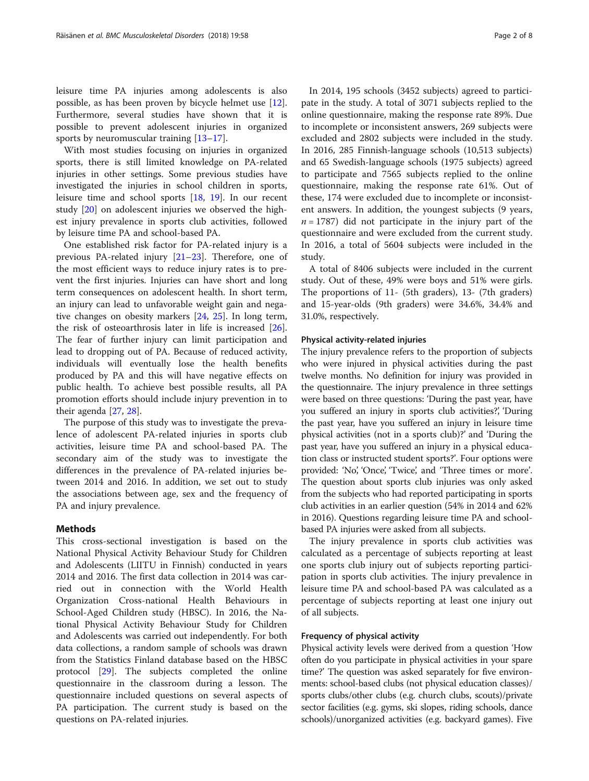leisure time PA injuries among adolescents is also possible, as has been proven by bicycle helmet use [\[12](#page-6-0)]. Furthermore, several studies have shown that it is possible to prevent adolescent injuries in organized sports by neuromuscular training [\[13](#page-6-0)–[17](#page-6-0)].

With most studies focusing on injuries in organized sports, there is still limited knowledge on PA-related injuries in other settings. Some previous studies have investigated the injuries in school children in sports, leisure time and school sports [\[18](#page-6-0), [19](#page-6-0)]. In our recent study [\[20](#page-6-0)] on adolescent injuries we observed the highest injury prevalence in sports club activities, followed by leisure time PA and school-based PA.

One established risk factor for PA-related injury is a previous PA-related injury [\[21](#page-6-0)–[23\]](#page-6-0). Therefore, one of the most efficient ways to reduce injury rates is to prevent the first injuries. Injuries can have short and long term consequences on adolescent health. In short term, an injury can lead to unfavorable weight gain and negative changes on obesity markers [\[24](#page-6-0), [25](#page-6-0)]. In long term, the risk of osteoarthrosis later in life is increased [\[26](#page-6-0)]. The fear of further injury can limit participation and lead to dropping out of PA. Because of reduced activity, individuals will eventually lose the health benefits produced by PA and this will have negative effects on public health. To achieve best possible results, all PA promotion efforts should include injury prevention in to their agenda [\[27](#page-6-0), [28](#page-6-0)].

The purpose of this study was to investigate the prevalence of adolescent PA-related injuries in sports club activities, leisure time PA and school-based PA. The secondary aim of the study was to investigate the differences in the prevalence of PA-related injuries between 2014 and 2016. In addition, we set out to study the associations between age, sex and the frequency of PA and injury prevalence.

### Methods

This cross-sectional investigation is based on the National Physical Activity Behaviour Study for Children and Adolescents (LIITU in Finnish) conducted in years 2014 and 2016. The first data collection in 2014 was carried out in connection with the World Health Organization Cross-national Health Behaviours in School-Aged Children study (HBSC). In 2016, the National Physical Activity Behaviour Study for Children and Adolescents was carried out independently. For both data collections, a random sample of schools was drawn from the Statistics Finland database based on the HBSC protocol [[29\]](#page-6-0). The subjects completed the online questionnaire in the classroom during a lesson. The questionnaire included questions on several aspects of PA participation. The current study is based on the questions on PA-related injuries.

In 2014, 195 schools (3452 subjects) agreed to participate in the study. A total of 3071 subjects replied to the online questionnaire, making the response rate 89%. Due to incomplete or inconsistent answers, 269 subjects were excluded and 2802 subjects were included in the study. In 2016, 285 Finnish-language schools (10,513 subjects) and 65 Swedish-language schools (1975 subjects) agreed to participate and 7565 subjects replied to the online questionnaire, making the response rate 61%. Out of these, 174 were excluded due to incomplete or inconsistent answers. In addition, the youngest subjects (9 years,  $n = 1787$ ) did not participate in the injury part of the questionnaire and were excluded from the current study. In 2016, a total of 5604 subjects were included in the study.

A total of 8406 subjects were included in the current study. Out of these, 49% were boys and 51% were girls. The proportions of 11- (5th graders), 13- (7th graders) and 15-year-olds (9th graders) were 34.6%, 34.4% and 31.0%, respectively.

#### Physical activity-related injuries

The injury prevalence refers to the proportion of subjects who were injured in physical activities during the past twelve months. No definition for injury was provided in the questionnaire. The injury prevalence in three settings were based on three questions: 'During the past year, have you suffered an injury in sports club activities?', 'During the past year, have you suffered an injury in leisure time physical activities (not in a sports club)?' and 'During the past year, have you suffered an injury in a physical education class or instructed student sports?'. Four options were provided: 'No', 'Once', 'Twice', and 'Three times or more'. The question about sports club injuries was only asked from the subjects who had reported participating in sports club activities in an earlier question (54% in 2014 and 62% in 2016). Questions regarding leisure time PA and schoolbased PA injuries were asked from all subjects.

The injury prevalence in sports club activities was calculated as a percentage of subjects reporting at least one sports club injury out of subjects reporting participation in sports club activities. The injury prevalence in leisure time PA and school-based PA was calculated as a percentage of subjects reporting at least one injury out of all subjects.

## Frequency of physical activity

Physical activity levels were derived from a question 'How often do you participate in physical activities in your spare time?' The question was asked separately for five environments: school-based clubs (not physical education classes)/ sports clubs/other clubs (e.g. church clubs, scouts)/private sector facilities (e.g. gyms, ski slopes, riding schools, dance schools)/unorganized activities (e.g. backyard games). Five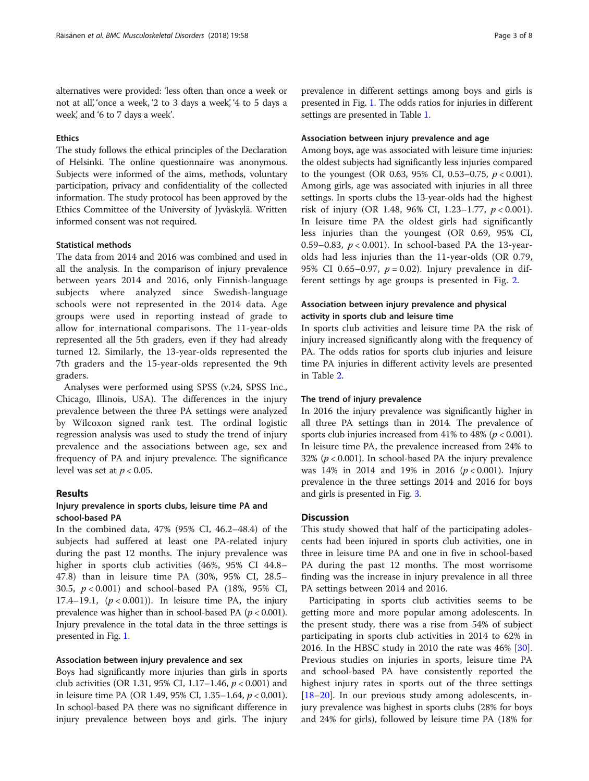## Ethics

The study follows the ethical principles of the Declaration of Helsinki. The online questionnaire was anonymous. Subjects were informed of the aims, methods, voluntary participation, privacy and confidentiality of the collected information. The study protocol has been approved by the Ethics Committee of the University of Jyväskylä. Written informed consent was not required.

## Statistical methods

The data from 2014 and 2016 was combined and used in all the analysis. In the comparison of injury prevalence between years 2014 and 2016, only Finnish-language subjects where analyzed since Swedish-language schools were not represented in the 2014 data. Age groups were used in reporting instead of grade to allow for international comparisons. The 11-year-olds represented all the 5th graders, even if they had already turned 12. Similarly, the 13-year-olds represented the 7th graders and the 15-year-olds represented the 9th graders.

Analyses were performed using SPSS (v.24, SPSS Inc., Chicago, Illinois, USA). The differences in the injury prevalence between the three PA settings were analyzed by Wilcoxon signed rank test. The ordinal logistic regression analysis was used to study the trend of injury prevalence and the associations between age, sex and frequency of PA and injury prevalence. The significance level was set at  $p < 0.05$ .

## Results

## Injury prevalence in sports clubs, leisure time PA and school-based PA

In the combined data, 47% (95% CI, 46.2–48.4) of the subjects had suffered at least one PA-related injury during the past 12 months. The injury prevalence was higher in sports club activities (46%, 95% CI 44.8– 47.8) than in leisure time PA (30%, 95% CI, 28.5– 30.5, p < 0.001) and school-based PA (18%, 95% CI, 17.4–19.1,  $(p < 0.001)$ ). In leisure time PA, the injury prevalence was higher than in school-based PA  $(p < 0.001)$ . Injury prevalence in the total data in the three settings is presented in Fig. [1](#page-3-0).

## Association between injury prevalence and sex

Boys had significantly more injuries than girls in sports club activities (OR 1.31, 95% CI, 1.17–1.46,  $p < 0.001$ ) and in leisure time PA (OR 1.49, 95% CI, 1.35–1.64,  $p < 0.001$ ). In school-based PA there was no significant difference in injury prevalence between boys and girls. The injury

prevalence in different settings among boys and girls is presented in Fig. [1](#page-3-0). The odds ratios for injuries in different settings are presented in Table [1.](#page-3-0)

## Association between injury prevalence and age

Among boys, age was associated with leisure time injuries: the oldest subjects had significantly less injuries compared to the youngest (OR 0.63, 95% CI, 0.53–0.75,  $p < 0.001$ ). Among girls, age was associated with injuries in all three settings. In sports clubs the 13-year-olds had the highest risk of injury (OR 1.48, 96% CI, 1.23–1.77,  $p < 0.001$ ). In leisure time PA the oldest girls had significantly less injuries than the youngest (OR 0.69, 95% CI, 0.59–0.83,  $p < 0.001$ ). In school-based PA the 13-yearolds had less injuries than the 11-year-olds (OR 0.79, 95% CI 0.65-0.97,  $p = 0.02$ ). Injury prevalence in different settings by age groups is presented in Fig. [2](#page-4-0).

## Association between injury prevalence and physical activity in sports club and leisure time

In sports club activities and leisure time PA the risk of injury increased significantly along with the frequency of PA. The odds ratios for sports club injuries and leisure time PA injuries in different activity levels are presented in Table [2.](#page-4-0)

## The trend of injury prevalence

In 2016 the injury prevalence was significantly higher in all three PA settings than in 2014. The prevalence of sports club injuries increased from 41% to 48% ( $p < 0.001$ ). In leisure time PA, the prevalence increased from 24% to 32% ( $p < 0.001$ ). In school-based PA the injury prevalence was 14% in 2014 and 19% in 2016 ( $p < 0.001$ ). Injury prevalence in the three settings 2014 and 2016 for boys and girls is presented in Fig. [3](#page-5-0).

## **Discussion**

This study showed that half of the participating adolescents had been injured in sports club activities, one in three in leisure time PA and one in five in school-based PA during the past 12 months. The most worrisome finding was the increase in injury prevalence in all three PA settings between 2014 and 2016.

Participating in sports club activities seems to be getting more and more popular among adolescents. In the present study, there was a rise from 54% of subject participating in sports club activities in 2014 to 62% in 2016. In the HBSC study in 2010 the rate was 46% [\[30](#page-6-0)]. Previous studies on injuries in sports, leisure time PA and school-based PA have consistently reported the highest injury rates in sports out of the three settings [[18](#page-6-0)–[20](#page-6-0)]. In our previous study among adolescents, injury prevalence was highest in sports clubs (28% for boys and 24% for girls), followed by leisure time PA (18% for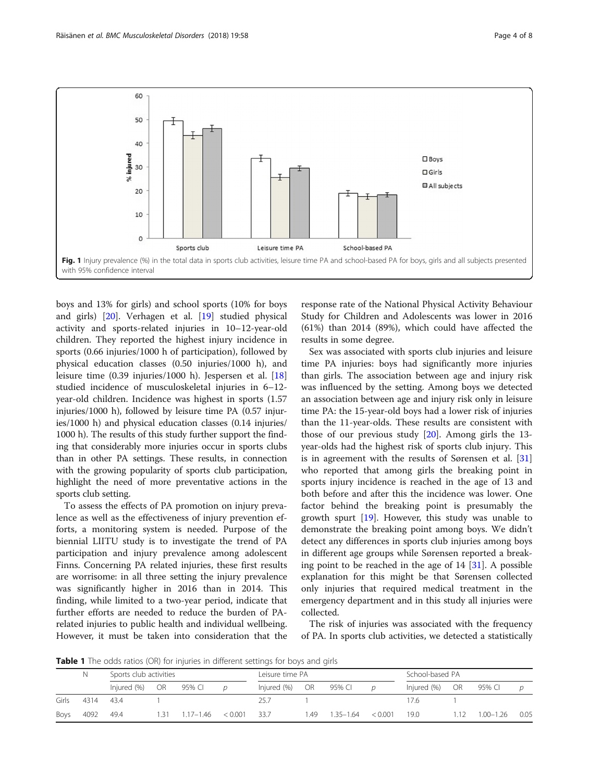<span id="page-3-0"></span>

boys and 13% for girls) and school sports (10% for boys and girls) [[20\]](#page-6-0). Verhagen et al. [[19\]](#page-6-0) studied physical activity and sports-related injuries in 10–12-year-old children. They reported the highest injury incidence in sports (0.66 injuries/1000 h of participation), followed by physical education classes (0.50 injuries/1000 h), and leisure time (0.39 injuries/1000 h). Jespersen et al. [[18](#page-6-0)] studied incidence of musculoskeletal injuries in 6–12 year-old children. Incidence was highest in sports (1.57 injuries/1000 h), followed by leisure time PA (0.57 injuries/1000 h) and physical education classes (0.14 injuries/ 1000 h). The results of this study further support the finding that considerably more injuries occur in sports clubs than in other PA settings. These results, in connection with the growing popularity of sports club participation, highlight the need of more preventative actions in the sports club setting.

To assess the effects of PA promotion on injury prevalence as well as the effectiveness of injury prevention efforts, a monitoring system is needed. Purpose of the biennial LIITU study is to investigate the trend of PA participation and injury prevalence among adolescent Finns. Concerning PA related injuries, these first results are worrisome: in all three setting the injury prevalence was significantly higher in 2016 than in 2014. This finding, while limited to a two-year period, indicate that further efforts are needed to reduce the burden of PArelated injuries to public health and individual wellbeing. However, it must be taken into consideration that the response rate of the National Physical Activity Behaviour Study for Children and Adolescents was lower in 2016 (61%) than 2014 (89%), which could have affected the results in some degree.

Sex was associated with sports club injuries and leisure time PA injuries: boys had significantly more injuries than girls. The association between age and injury risk was influenced by the setting. Among boys we detected an association between age and injury risk only in leisure time PA: the 15-year-old boys had a lower risk of injuries than the 11-year-olds. These results are consistent with those of our previous study  $[20]$  $[20]$ . Among girls the 13year-olds had the highest risk of sports club injury. This is in agreement with the results of Sørensen et al. [[31](#page-6-0)] who reported that among girls the breaking point in sports injury incidence is reached in the age of 13 and both before and after this the incidence was lower. One factor behind the breaking point is presumably the growth spurt [[19\]](#page-6-0). However, this study was unable to demonstrate the breaking point among boys. We didn't detect any differences in sports club injuries among boys in different age groups while Sørensen reported a breaking point to be reached in the age of  $14$  [\[31](#page-6-0)]. A possible explanation for this might be that Sørensen collected only injuries that required medical treatment in the emergency department and in this study all injuries were collected.

The risk of injuries was associated with the frequency of PA. In sports club activities, we detected a statistically

**Table 1** The odds ratios (OR) for injuries in different settings for boys and girls

|       | Ν    | Sports club activities |      |           |         | Leisure time PA |      |           |         | School-based PA |  |                      |      |
|-------|------|------------------------|------|-----------|---------|-----------------|------|-----------|---------|-----------------|--|----------------------|------|
|       |      | Injured (%) OR         |      | 95% CI    |         | Injured (%) OR  |      | 95% CI    | D       | Injured (%) OR  |  | 95% CI               |      |
| Girls | 4314 | 43.4                   |      |           |         |                 |      |           |         |                 |  |                      |      |
| Boys  | 4092 | - 49.4                 | 1.31 | 1.17–1.46 | < 0.001 | 337             | 1.49 | 1.35–1.64 | < 0.001 | 19.0            |  | $1.12$ $1.00 - 1.26$ | 0.05 |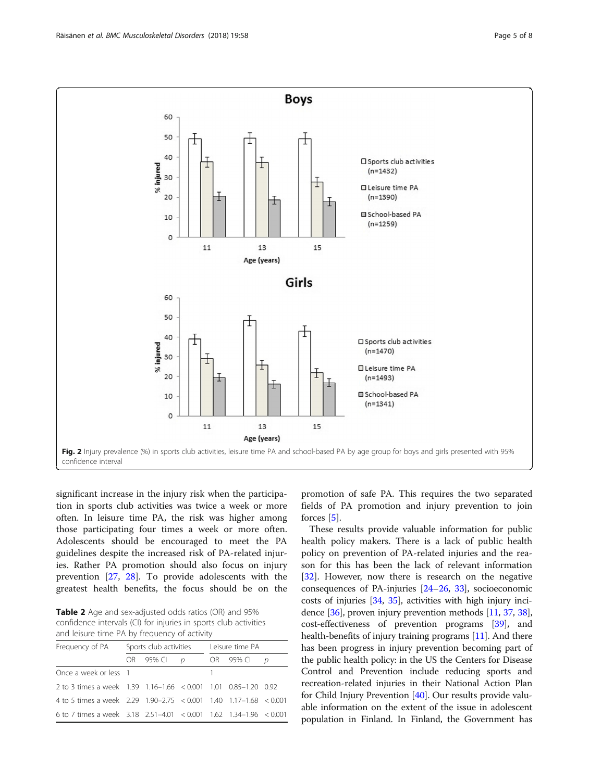<span id="page-4-0"></span>

significant increase in the injury risk when the participation in sports club activities was twice a week or more often. In leisure time PA, the risk was higher among those participating four times a week or more often. Adolescents should be encouraged to meet the PA guidelines despite the increased risk of PA-related injuries. Rather PA promotion should also focus on injury prevention [[27](#page-6-0), [28\]](#page-6-0). To provide adolescents with the greatest health benefits, the focus should be on the

**Table 2** Age and sex-adjusted odds ratios (OR) and 95% confidence intervals (CI) for injuries in sports club activities and leisure time PA by frequency of activity

| Frequency of PA                                                   |     | Sports club activities |               | Leisure time PA |           |   |  |
|-------------------------------------------------------------------|-----|------------------------|---------------|-----------------|-----------|---|--|
|                                                                   | OR. | 95% CI                 | $\mathcal{D}$ |                 | OR 95% CI | D |  |
| Once a week or less 1                                             |     |                        |               |                 |           |   |  |
| 2 to 3 times a week 1.39 1.16-1.66 < 0.001 1.01 0.85-1.20 0.92    |     |                        |               |                 |           |   |  |
| 4 to 5 times a week 2.29 1.90-2.75 < 0.001 1.40 1.17-1.68 < 0.001 |     |                        |               |                 |           |   |  |
| 6 to 7 times a week 3.18 2.51-4.01 < 0.001 1.62 1.34-1.96 < 0.001 |     |                        |               |                 |           |   |  |

promotion of safe PA. This requires the two separated fields of PA promotion and injury prevention to join forces [\[5\]](#page-6-0).

These results provide valuable information for public health policy makers. There is a lack of public health policy on prevention of PA-related injuries and the reason for this has been the lack of relevant information [[32\]](#page-6-0). However, now there is research on the negative consequences of PA-injuries [\[24](#page-6-0)–[26](#page-6-0), [33\]](#page-6-0), socioeconomic costs of injuries [\[34,](#page-6-0) [35](#page-7-0)], activities with high injury incidence [\[36\]](#page-7-0), proven injury prevention methods [[11](#page-6-0), [37,](#page-7-0) [38](#page-7-0)], cost-effectiveness of prevention programs [\[39\]](#page-7-0), and health-benefits of injury training programs [[11](#page-6-0)]. And there has been progress in injury prevention becoming part of the public health policy: in the US the Centers for Disease Control and Prevention include reducing sports and recreation-related injuries in their National Action Plan for Child Injury Prevention [[40](#page-7-0)]. Our results provide valuable information on the extent of the issue in adolescent population in Finland. In Finland, the Government has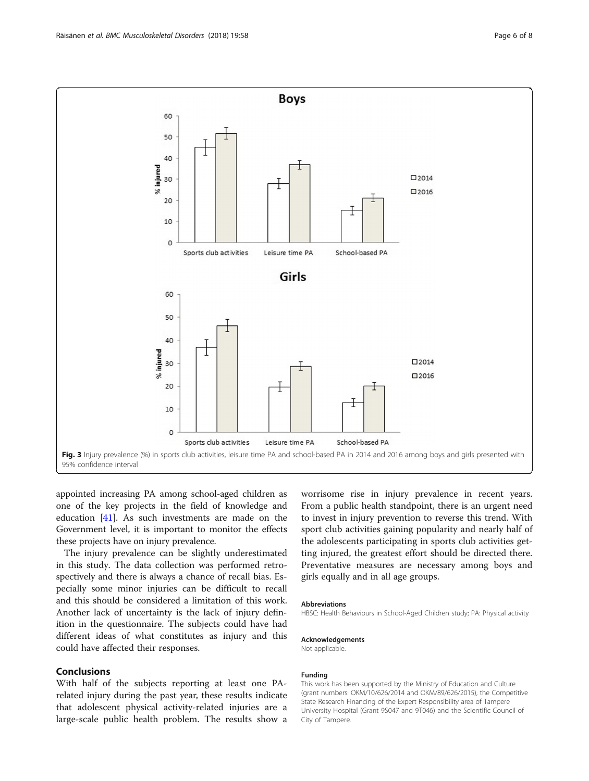<span id="page-5-0"></span>

appointed increasing PA among school-aged children as one of the key projects in the field of knowledge and education [\[41\]](#page-7-0). As such investments are made on the Government level, it is important to monitor the effects these projects have on injury prevalence.

The injury prevalence can be slightly underestimated in this study. The data collection was performed retrospectively and there is always a chance of recall bias. Especially some minor injuries can be difficult to recall and this should be considered a limitation of this work. Another lack of uncertainty is the lack of injury definition in the questionnaire. The subjects could have had different ideas of what constitutes as injury and this could have affected their responses.

## Conclusions

With half of the subjects reporting at least one PArelated injury during the past year, these results indicate that adolescent physical activity-related injuries are a large-scale public health problem. The results show a worrisome rise in injury prevalence in recent years. From a public health standpoint, there is an urgent need to invest in injury prevention to reverse this trend. With sport club activities gaining popularity and nearly half of the adolescents participating in sports club activities getting injured, the greatest effort should be directed there. Preventative measures are necessary among boys and girls equally and in all age groups.

#### Abbreviations

HBSC: Health Behaviours in School-Aged Children study; PA: Physical activity

#### Acknowledgements

Not applicable.

#### Funding

This work has been supported by the Ministry of Education and Culture (grant numbers: OKM/10/626/2014 and OKM/89/626/2015), the Competitive State Research Financing of the Expert Responsibility area of Tampere University Hospital (Grant 9S047 and 9T046) and the Scientific Council of City of Tampere.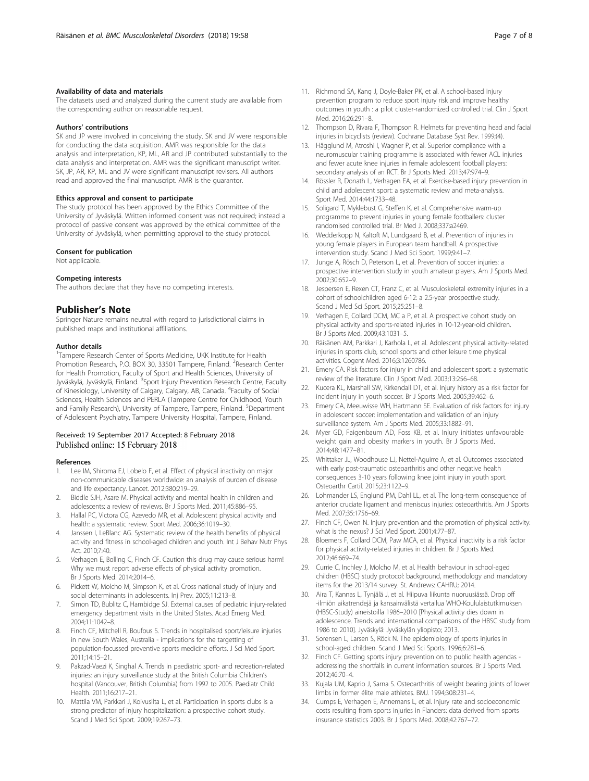#### <span id="page-6-0"></span>Availability of data and materials

The datasets used and analyzed during the current study are available from the corresponding author on reasonable request.

#### Authors' contributions

SK and JP were involved in conceiving the study. SK and JV were responsible for conducting the data acquisition. AMR was responsible for the data analysis and interpretation, KP, ML, AR and JP contributed substantially to the data analysis and interpretation. AMR was the significant manuscript writer. SK, JP, AR, KP, ML and JV were significant manuscript revisers. All authors read and approved the final manuscript. AMR is the guarantor.

#### Ethics approval and consent to participate

The study protocol has been approved by the Ethics Committee of the University of Jyväskylä. Written informed consent was not required; instead a protocol of passive consent was approved by the ethical committee of the University of Jyväskylä, when permitting approval to the study protocol.

#### Consent for publication

Not applicable.

#### Competing interests

The authors declare that they have no competing interests.

#### Publisher's Note

Springer Nature remains neutral with regard to jurisdictional claims in published maps and institutional affiliations.

#### Author details

<sup>1</sup>Tampere Research Center of Sports Medicine, UKK Institute for Health Promotion Research, P.O. BOX 30, 33501 Tampere, Finland. <sup>2</sup>Research Center for Health Promotion, Faculty of Sport and Health Sciences, University of Jyväskylä, Jyväskylä, Finland. <sup>3</sup>Sport Injury Prevention Research Centre, Faculty of Kinesiology, University of Calgary, Calgary, AB, Canada. <sup>4</sup>Faculty of Social Sciences, Health Sciences and PERLA (Tampere Centre for Childhood, Youth and Family Research), University of Tampere, Tampere, Finland. <sup>5</sup>Department of Adolescent Psychiatry, Tampere University Hospital, Tampere, Finland.

#### Received: 19 September 2017 Accepted: 8 February 2018 Published online: 15 February 2018

#### References

- 1. Lee IM, Shiroma EJ, Lobelo F, et al. Effect of physical inactivity on major non-communicable diseases worldwide: an analysis of burden of disease and life expectancy. Lancet. 2012;380:219–29.
- 2. Biddle SJH, Asare M. Physical activity and mental health in children and adolescents: a review of reviews. Br J Sports Med. 2011;45:886–95.
- 3. Hallal PC, Victora CG, Azevedo MR, et al. Adolescent physical activity and health: a systematic review. Sport Med. 2006;36:1019–30.
- 4. Janssen I, LeBlanc AG. Systematic review of the health benefits of physical activity and fitness in school-aged children and youth. Int J Behav Nutr Phys Act. 2010;7:40.
- Verhagen E, Bolling C, Finch CF. Caution this drug may cause serious harm! Why we must report adverse effects of physical activity promotion. Br J Sports Med. 2014:2014–6.
- 6. Pickett W, Molcho M, Simpson K, et al. Cross national study of injury and social determinants in adolescents. Inj Prev. 2005;11:213–8.
- 7. Simon TD, Bublitz C, Hambidge SJ. External causes of pediatric injury-related emergency department visits in the United States. Acad Emerg Med. 2004;11:1042–8.
- 8. Finch CF, Mitchell R, Boufous S. Trends in hospitalised sport/leisure injuries in new South Wales, Australia - implications for the targetting of population-focussed preventive sports medicine efforts. J Sci Med Sport. 2011;14:15–21.
- Pakzad-Vaezi K, Singhal A. Trends in paediatric sport- and recreation-related injuries: an injury surveillance study at the British Columbia Children's hospital (Vancouver, British Columbia) from 1992 to 2005. Paediatr Child Health. 2011;16:217–21.
- 10. Mattila VM, Parkkari J, Koivusilta L, et al. Participation in sports clubs is a strong predictor of injury hospitalization: a prospective cohort study. Scand J Med Sci Sport. 2009;19:267–73.
- 11. Richmond SA, Kang J, Doyle-Baker PK, et al. A school-based injury prevention program to reduce sport injury risk and improve healthy outcomes in youth : a pilot cluster-randomized controlled trial. Clin J Sport Med. 2016;26:291–8.
- 12. Thompson D, Rivara F, Thompson R. Helmets for preventing head and facial injuries in bicyclists (review). Cochrane Database Syst Rev. 1999;(4).
- 13. Hägglund M, Atroshi I, Wagner P, et al. Superior compliance with a neuromuscular training programme is associated with fewer ACL injuries and fewer acute knee injuries in female adolescent football players: secondary analysis of an RCT. Br J Sports Med. 2013;47:974–9.
- 14. Rössler R, Donath L, Verhagen EA, et al. Exercise-based injury prevention in child and adolescent sport: a systematic review and meta-analysis. Sport Med. 2014;44:1733–48.
- 15. Soligard T, Myklebust G, Steffen K, et al. Comprehensive warm-up programme to prevent injuries in young female footballers: cluster randomised controlled trial. Br Med J. 2008;337:a2469.
- 16. Wedderkopp N, Kaltoft M, Lundgaard B, et al. Prevention of injuries in young female players in European team handball. A prospective intervention study. Scand J Med Sci Sport. 1999;9:41–7.
- 17. Junge A, Rösch D, Peterson L, et al. Prevention of soccer injuries: a prospective intervention study in youth amateur players. Am J Sports Med. 2002;30:652–9.
- 18. Jespersen E, Rexen CT, Franz C, et al. Musculoskeletal extremity injuries in a cohort of schoolchildren aged 6-12: a 2.5-year prospective study. Scand J Med Sci Sport. 2015;25:251–8.
- 19. Verhagen E, Collard DCM, MC a P, et al. A prospective cohort study on physical activity and sports-related injuries in 10-12-year-old children. Br J Sports Med. 2009;43:1031–5.
- 20. Räisänen AM, Parkkari J, Karhola L, et al. Adolescent physical activity-related injuries in sports club, school sports and other leisure time physical activities. Cogent Med. 2016;3:1260786.
- 21. Emery CA. Risk factors for injury in child and adolescent sport: a systematic review of the literature. Clin J Sport Med. 2003;13:256–68.
- 22. Kucera KL, Marshall SW, Kirkendall DT, et al. Injury history as a risk factor for incident injury in youth soccer. Br J Sports Med. 2005;39:462–6.
- 23. Emery CA, Meeuwisse WH, Hartmann SE. Evaluation of risk factors for injury in adolescent soccer: implementation and validation of an injury surveillance system. Am J Sports Med. 2005;33:1882–91.
- 24. Myer GD, Faigenbaum AD, Foss KB, et al. Injury initiates unfavourable weight gain and obesity markers in youth. Br J Sports Med. 2014;48:1477–81.
- 25. Whittaker JL, Woodhouse LJ, Nettel-Aguirre A, et al. Outcomes associated with early post-traumatic osteoarthritis and other negative health consequences 3-10 years following knee joint injury in youth sport. Osteoarthr Cartil. 2015;23:1122–9.
- 26. Lohmander LS, Englund PM, Dahl LL, et al. The long-term consequence of anterior cruciate ligament and meniscus injuries: osteoarthritis. Am J Sports Med. 2007;35:1756–69.
- 27. Finch CF, Owen N. Injury prevention and the promotion of physical activity: what is the nexus? J Sci Med Sport. 2001;4:77–87.
- 28. Bloemers F, Collard DCM, Paw MCA, et al. Physical inactivity is a risk factor for physical activity-related injuries in children. Br J Sports Med. 2012;46:669–74.
- 29. Currie C, Inchley J, Molcho M, et al. Health behaviour in school-aged children (HBSC) study protocol: background, methodology and mandatory items for the 2013/14 survey. St. Andrews: CAHRU; 2014.
- 30. Aira T, Kannas L, Tynjälä J, et al. Hiipuva liikunta nuoruusiässä. Drop off -ilmiön aikatrendejä ja kansainvälistä vertailua WHO-Koululaistutkimuksen (HBSC-Study) aineistoilla 1986–2010 [Physical activity dies down in adolescence. Trends and international comparisons of the HBSC study from 1986 to 2010]. Jyväskylä: Jyväskylän yliopisto; 2013.
- 31. Sorensen L, Larsen S, Röck N. The epidemiology of sports injuries in school-aged children. Scand J Med Sci Sports. 1996;6:281–6.
- 32. Finch CF. Getting sports injury prevention on to public health agendas addressing the shortfalls in current information sources. Br J Sports Med. 2012;46:70–4.
- 33. Kujala UM, Kaprio J, Sarna S. Osteoarthritis of weight bearing joints of lower limbs in former élite male athletes. BMJ. 1994;308:231–4.
- 34. Cumps E, Verhagen E, Annemans L, et al. Injury rate and socioeconomic costs resulting from sports injuries in Flanders: data derived from sports insurance statistics 2003. Br J Sports Med. 2008;42:767–72.